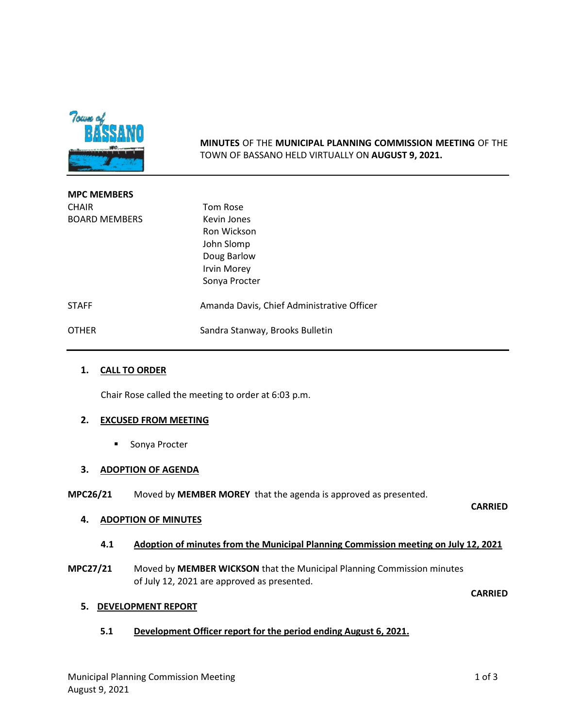

**MINUTES** OF THE **MUNICIPAL PLANNING COMMISSION MEETING** OF THE TOWN OF BASSANO HELD VIRTUALLY ON **AUGUST 9, 2021.**

| <b>MPC MEMBERS</b>   |                                            |
|----------------------|--------------------------------------------|
| <b>CHAIR</b>         | Tom Rose                                   |
| <b>BOARD MEMBERS</b> | Kevin Jones                                |
|                      | Ron Wickson                                |
|                      | John Slomp                                 |
|                      | Doug Barlow                                |
|                      | <b>Irvin Morey</b>                         |
|                      | Sonya Procter                              |
| <b>STAFF</b>         | Amanda Davis, Chief Administrative Officer |
| <b>OTHER</b>         | Sandra Stanway, Brooks Bulletin            |

#### **1. CALL TO ORDER**

Chair Rose called the meeting to order at 6:03 p.m.

#### **2. EXCUSED FROM MEETING**

**Sonya Procter** 

## **3. ADOPTION OF AGENDA**

**MPC26/21** Moved by **MEMBER MOREY** that the agenda is approved as presented.

**CARRIED**

## **4. ADOPTION OF MINUTES**

## **4.1 Adoption of minutes from the Municipal Planning Commission meeting on July 12, 2021**

**MPC27/21** Moved by **MEMBER WICKSON** that the Municipal Planning Commission minutes of July 12, 2021 are approved as presented.

**CARRIED**

#### **5. DEVELOPMENT REPORT**

**5.1 Development Officer report for the period ending August 6, 2021.**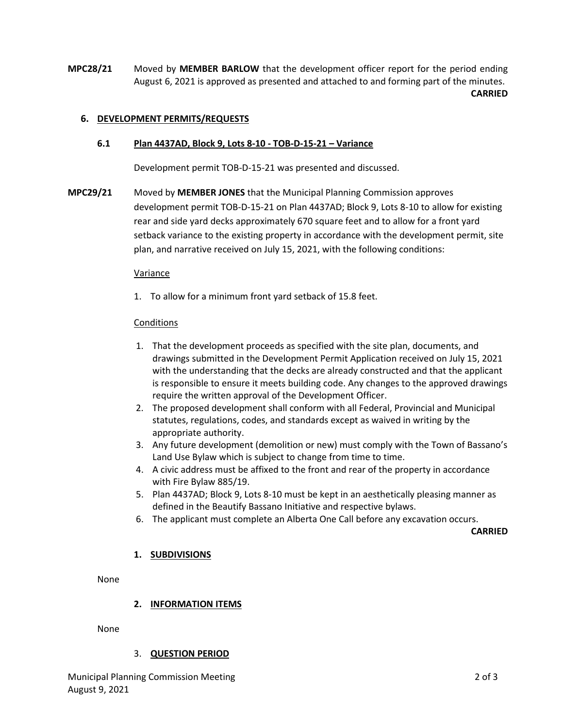**MPC28/21** Moved by **MEMBER BARLOW** that the development officer report for the period ending August 6, 2021 is approved as presented and attached to and forming part of the minutes. **CARRIED**

# **6. DEVELOPMENT PERMITS/REQUESTS**

## **6.1 Plan 4437AD, Block 9, Lots 8-10 - TOB-D-15-21 – Variance**

Development permit TOB-D-15-21 was presented and discussed.

**MPC29/21** Moved by **MEMBER JONES** that the Municipal Planning Commission approves development permit TOB-D-15-21 on Plan 4437AD; Block 9, Lots 8-10 to allow for existing rear and side yard decks approximately 670 square feet and to allow for a front yard setback variance to the existing property in accordance with the development permit, site plan, and narrative received on July 15, 2021, with the following conditions:

#### Variance

1. To allow for a minimum front yard setback of 15.8 feet.

#### **Conditions**

- 1. That the development proceeds as specified with the site plan, documents, and drawings submitted in the Development Permit Application received on July 15, 2021 with the understanding that the decks are already constructed and that the applicant is responsible to ensure it meets building code. Any changes to the approved drawings require the written approval of the Development Officer.
- 2. The proposed development shall conform with all Federal, Provincial and Municipal statutes, regulations, codes, and standards except as waived in writing by the appropriate authority.
- 3. Any future development (demolition or new) must comply with the Town of Bassano's Land Use Bylaw which is subject to change from time to time.
- 4. A civic address must be affixed to the front and rear of the property in accordance with Fire Bylaw 885/19.
- 5. Plan 4437AD; Block 9, Lots 8-10 must be kept in an aesthetically pleasing manner as defined in the Beautify Bassano Initiative and respective bylaws.
- 6. The applicant must complete an Alberta One Call before any excavation occurs.

**CARRIED**

## **1. SUBDIVISIONS**

None

## **2. INFORMATION ITEMS**

None

## 3. **QUESTION PERIOD**